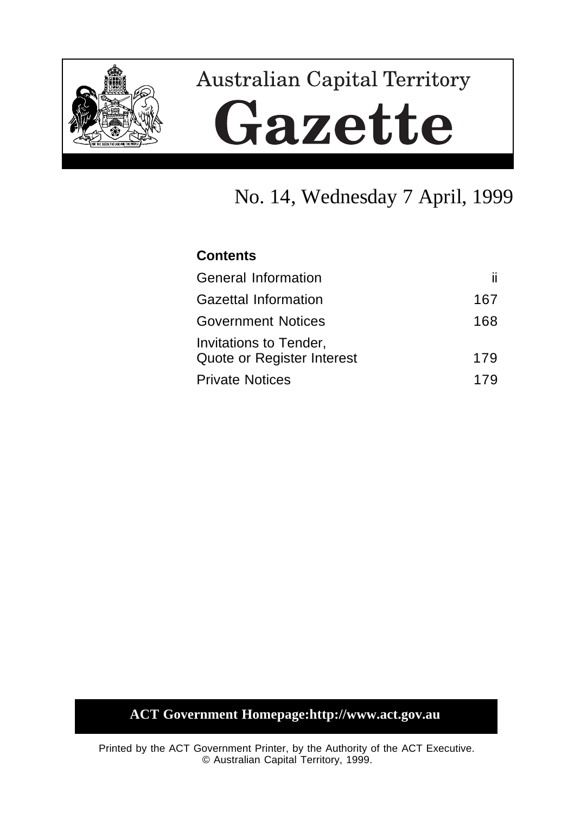

# **Australian Capital Territory** Gazette

## No. 14, Wednesday 7 April, 1999

## **Contents**

| General Information                                  | ii. |
|------------------------------------------------------|-----|
| <b>Gazettal Information</b>                          | 167 |
| <b>Government Notices</b>                            | 168 |
| Invitations to Tender,<br>Quote or Register Interest | 179 |
| <b>Private Notices</b>                               | 17Q |

## **ACT Government Homepage:http://www.act.gov.au**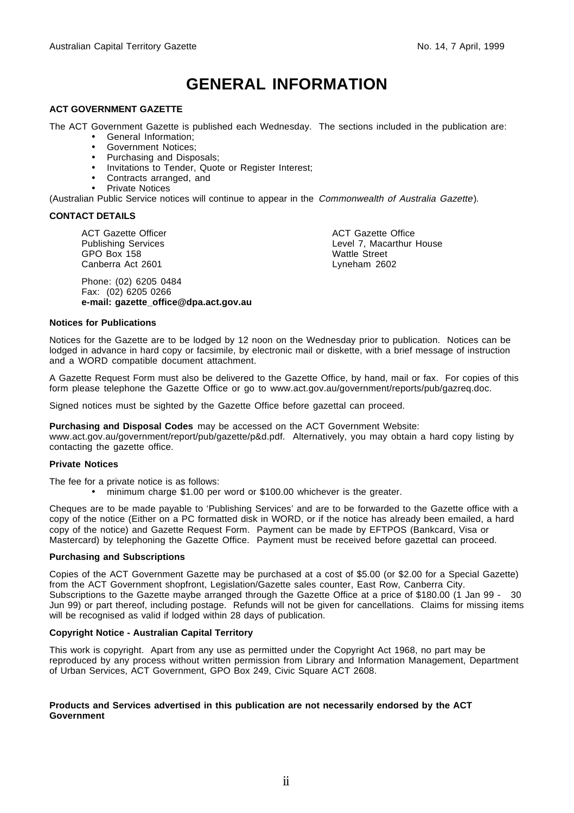## **GENERAL INFORMATION**

#### **ACT GOVERNMENT GAZETTE**

The ACT Government Gazette is published each Wednesday. The sections included in the publication are:

- General Information;
- Government Notices;
- Purchasing and Disposals;
- Invitations to Tender, Quote or Register Interest;
- Contracts arranged, and
- Private Notices

(Australian Public Service notices will continue to appear in the Commonwealth of Australia Gazette).

#### **CONTACT DETAILS**

ACT Gazette Officer Publishing Services GPO Box 158 Canberra Act 2601

Phone: (02) 6205 0484 Fax: (02) 6205 0266 **e-mail: gazette\_office@dpa.act.gov.au** ACT Gazette Office Level 7, Macarthur House Wattle Street Lyneham 2602

#### **Notices for Publications**

Notices for the Gazette are to be lodged by 12 noon on the Wednesday prior to publication. Notices can be lodged in advance in hard copy or facsimile, by electronic mail or diskette, with a brief message of instruction and a WORD compatible document attachment.

A Gazette Request Form must also be delivered to the Gazette Office, by hand, mail or fax. For copies of this form please telephone the Gazette Office or go to www.act.gov.au/government/reports/pub/gazreq.doc.

Signed notices must be sighted by the Gazette Office before gazettal can proceed.

**Purchasing and Disposal Codes** may be accessed on the ACT Government Website:

www.act.gov.au/government/report/pub/gazette/p&d.pdf. Alternatively, you may obtain a hard copy listing by contacting the gazette office.

#### **Private Notices**

The fee for a private notice is as follows:

• minimum charge \$1.00 per word or \$100.00 whichever is the greater.

Cheques are to be made payable to 'Publishing Services' and are to be forwarded to the Gazette office with a copy of the notice (Either on a PC formatted disk in WORD, or if the notice has already been emailed, a hard copy of the notice) and Gazette Request Form. Payment can be made by EFTPOS (Bankcard, Visa or Mastercard) by telephoning the Gazette Office. Payment must be received before gazettal can proceed.

#### **Purchasing and Subscriptions**

Copies of the ACT Government Gazette may be purchased at a cost of \$5.00 (or \$2.00 for a Special Gazette) from the ACT Government shopfront, Legislation/Gazette sales counter, East Row, Canberra City. Subscriptions to the Gazette maybe arranged through the Gazette Office at a price of \$180.00 (1 Jan 99 - 30 Jun 99) or part thereof, including postage. Refunds will not be given for cancellations. Claims for missing items will be recognised as valid if lodged within 28 days of publication.

#### **Copyright Notice - Australian Capital Territory**

This work is copyright. Apart from any use as permitted under the Copyright Act 1968, no part may be reproduced by any process without written permission from Library and Information Management, Department of Urban Services, ACT Government, GPO Box 249, Civic Square ACT 2608.

#### **Products and Services advertised in this publication are not necessarily endorsed by the ACT Government**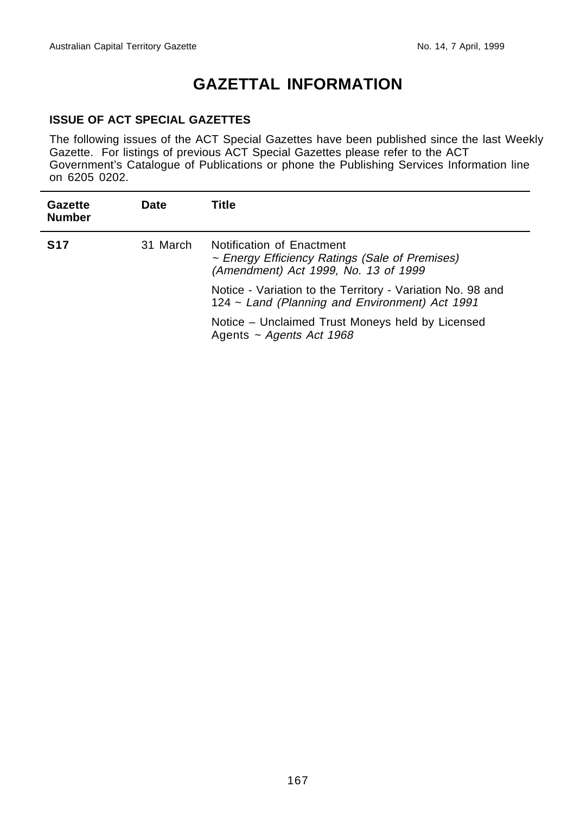j.

## **GAZETTAL INFORMATION**

## **ISSUE OF ACT SPECIAL GAZETTES**

The following issues of the ACT Special Gazettes have been published since the last Weekly Gazette. For listings of previous ACT Special Gazettes please refer to the ACT Government's Catalogue of Publications or phone the Publishing Services Information line on 6205 0202.

| Gazette<br><b>Number</b> | <b>Date</b> | Title                                                                                                               |
|--------------------------|-------------|---------------------------------------------------------------------------------------------------------------------|
| <b>S17</b>               | 31 March    | Notification of Enactment<br>~ Energy Efficiency Ratings (Sale of Premises)<br>(Amendment) Act 1999, No. 13 of 1999 |
|                          |             | Notice - Variation to the Territory - Variation No. 98 and<br>124 ~ Land (Planning and Environment) Act 1991        |
|                          |             | Notice – Unclaimed Trust Moneys held by Licensed<br>Agents $\sim$ Agents Act 1968                                   |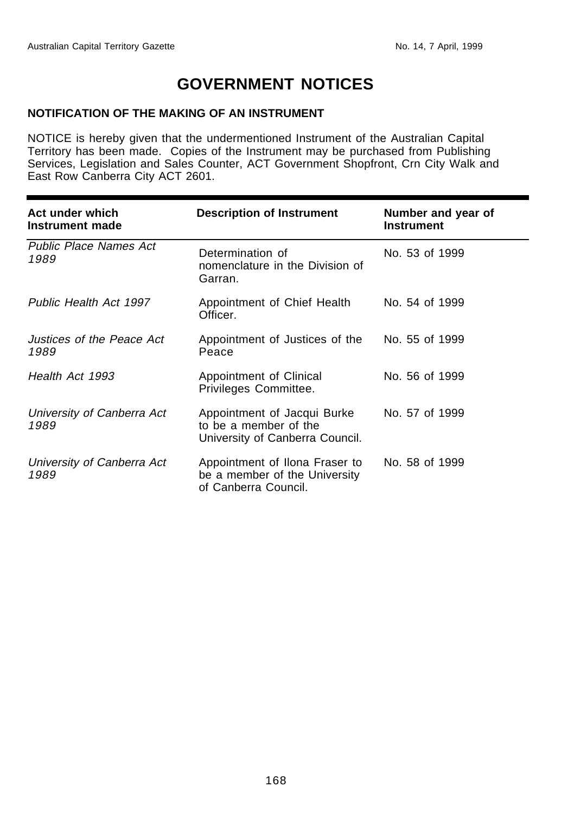## **GOVERNMENT NOTICES**

## **NOTIFICATION OF THE MAKING OF AN INSTRUMENT**

NOTICE is hereby given that the undermentioned Instrument of the Australian Capital Territory has been made. Copies of the Instrument may be purchased from Publishing Services, Legislation and Sales Counter, ACT Government Shopfront, Crn City Walk and East Row Canberra City ACT 2601.

| Act under which<br>Instrument made    | <b>Description of Instrument</b>                                                        | Number and year of<br><b>Instrument</b> |
|---------------------------------------|-----------------------------------------------------------------------------------------|-----------------------------------------|
| <b>Public Place Names Act</b><br>1989 | Determination of<br>nomenclature in the Division of<br>Garran.                          | No. 53 of 1999                          |
| Public Health Act 1997                | Appointment of Chief Health<br>Officer.                                                 | No. 54 of 1999                          |
| Justices of the Peace Act<br>1989     | Appointment of Justices of the<br>Peace                                                 | No. 55 of 1999                          |
| Health Act 1993                       | Appointment of Clinical<br>Privileges Committee.                                        | No. 56 of 1999                          |
| University of Canberra Act<br>1989    | Appointment of Jacqui Burke<br>to be a member of the<br>University of Canberra Council. | No. 57 of 1999                          |
| University of Canberra Act<br>1989    | Appointment of Ilona Fraser to<br>be a member of the University<br>of Canberra Council. | No. 58 of 1999                          |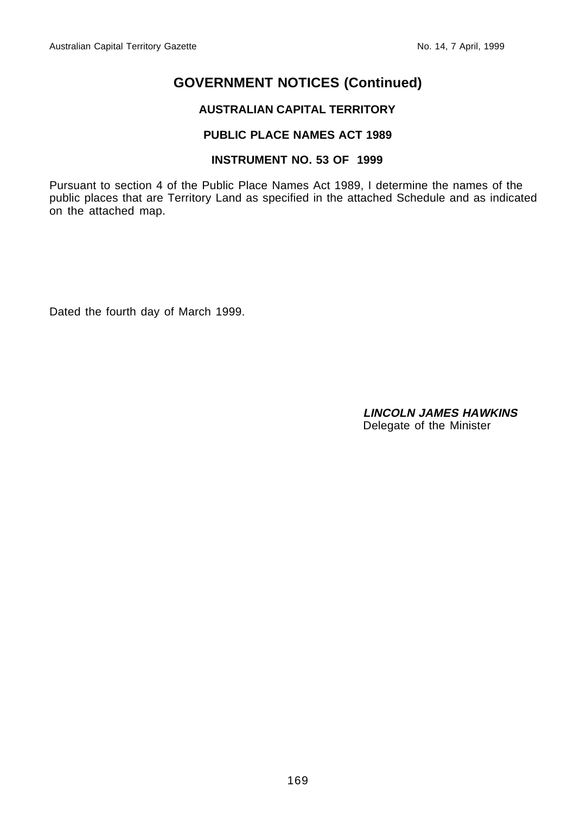## **AUSTRALIAN CAPITAL TERRITORY**

## **PUBLIC PLACE NAMES ACT 1989**

## **INSTRUMENT NO. 53 OF 1999**

Pursuant to section 4 of the Public Place Names Act 1989, I determine the names of the public places that are Territory Land as specified in the attached Schedule and as indicated on the attached map.

Dated the fourth day of March 1999.

**LINCOLN JAMES HAWKINS** Delegate of the Minister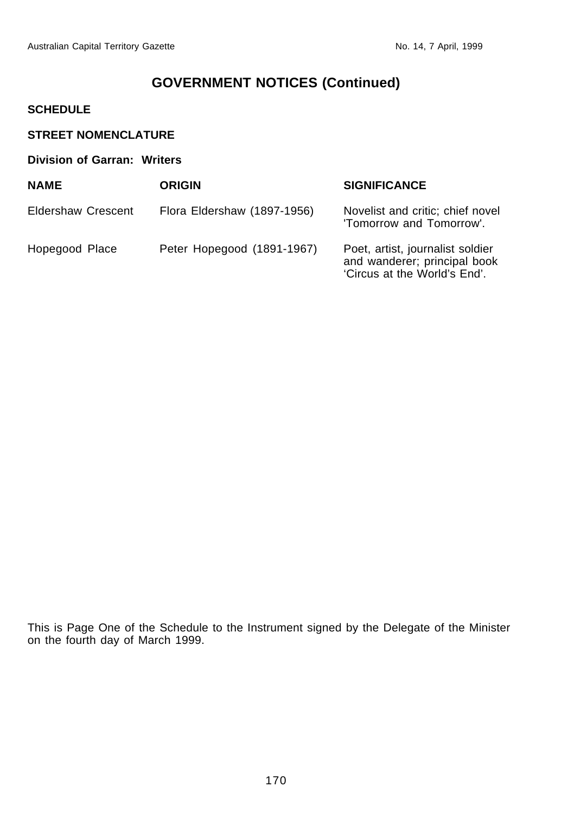## **SCHEDULE**

| <b>STREET NOMENCLATURE</b>  |                             |                                                                                                  |  |  |  |
|-----------------------------|-----------------------------|--------------------------------------------------------------------------------------------------|--|--|--|
| Division of Garran: Writers |                             |                                                                                                  |  |  |  |
| <b>NAME</b>                 | <b>ORIGIN</b>               | <b>SIGNIFICANCE</b>                                                                              |  |  |  |
| Eldershaw Crescent          | Flora Eldershaw (1897-1956) | Novelist and critic; chief novel<br>'Tomorrow and Tomorrow'.                                     |  |  |  |
| Hopegood Place              | Peter Hopegood (1891-1967)  | Poet, artist, journalist soldier<br>and wanderer; principal book<br>'Circus at the World's End'. |  |  |  |

This is Page One of the Schedule to the Instrument signed by the Delegate of the Minister on the fourth day of March 1999.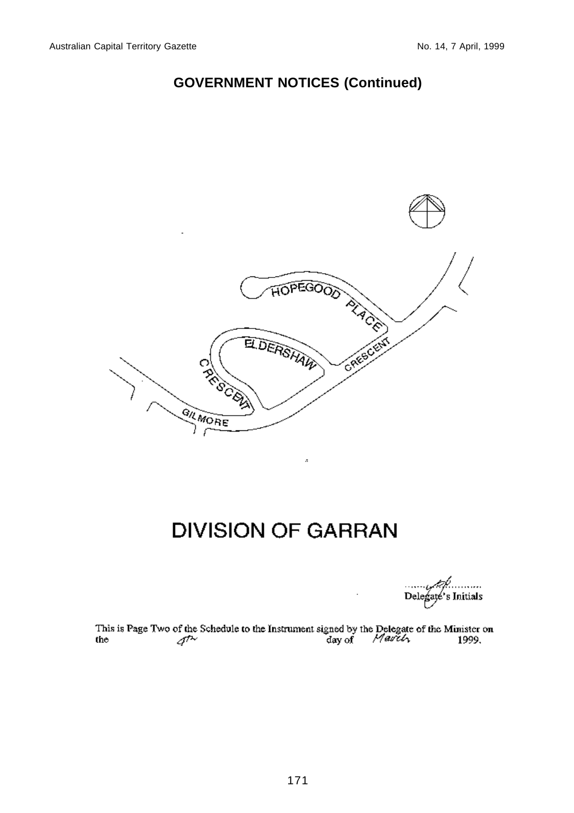

## **DIVISION OF GARRAN**

ă

Delegate's Initials

This is Page Two of the Schedule to the Instrument signed by the Delegate of the Minister on the  $\frac{d^{2}y}{dx^{2}}$  and  $\frac{d^{2}y}{dx^{2}}$  1999.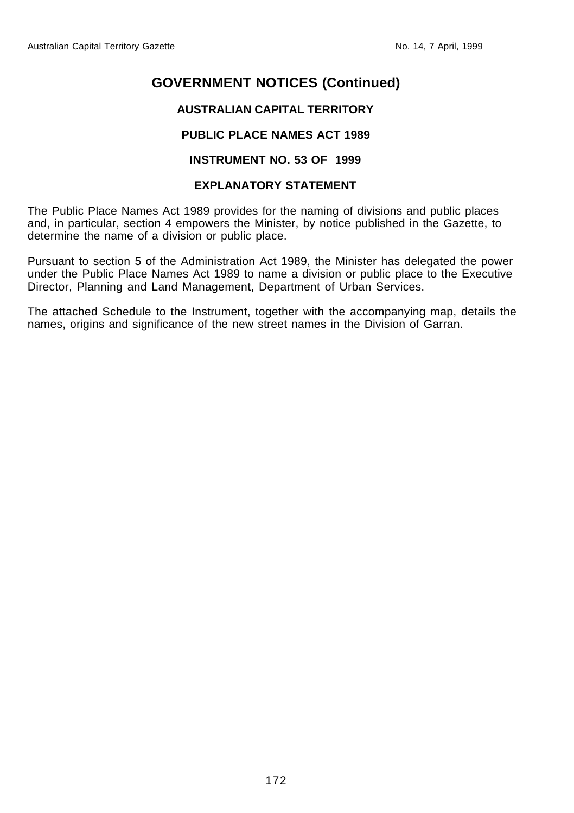## **AUSTRALIAN CAPITAL TERRITORY**

## **PUBLIC PLACE NAMES ACT 1989**

### **INSTRUMENT NO. 53 OF 1999**

### **EXPLANATORY STATEMENT**

The Public Place Names Act 1989 provides for the naming of divisions and public places and, in particular, section 4 empowers the Minister, by notice published in the Gazette, to determine the name of a division or public place.

Pursuant to section 5 of the Administration Act 1989, the Minister has delegated the power under the Public Place Names Act 1989 to name a division or public place to the Executive Director, Planning and Land Management, Department of Urban Services.

The attached Schedule to the Instrument, together with the accompanying map, details the names, origins and significance of the new street names in the Division of Garran.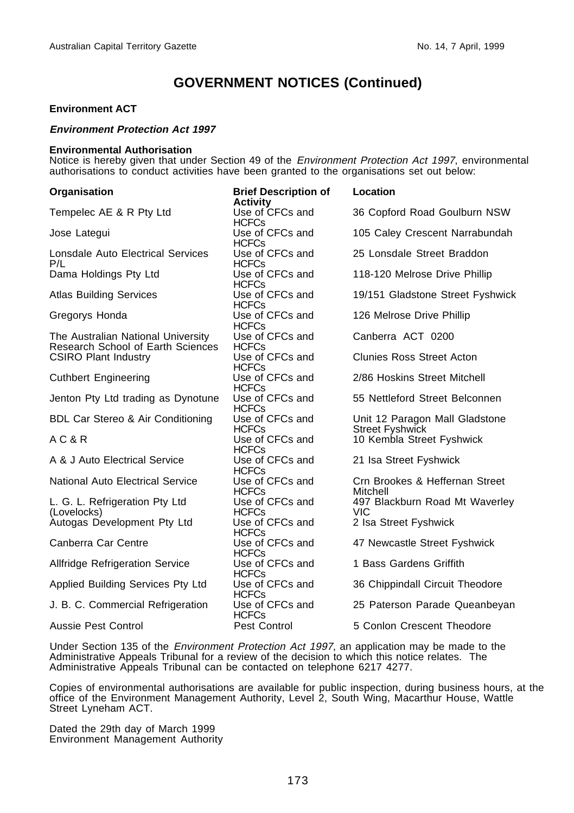#### **Environment ACT**

#### **Environment Protection Act 1997**

#### **Environmental Authorisation**

Notice is hereby given that under Section 49 of the Environment Protection Act 1997, environmental authorisations to conduct activities have been granted to the organisations set out below:

| Organisation                                                            | <b>Brief Description of</b><br><b>Activity</b> | Location                                                 |
|-------------------------------------------------------------------------|------------------------------------------------|----------------------------------------------------------|
| Tempelec AE & R Pty Ltd                                                 | Use of CFCs and<br><b>HCFCs</b>                | 36 Copford Road Goulburn NSW                             |
| Jose Lategui                                                            | Use of CFCs and<br><b>HCFCs</b>                | 105 Caley Crescent Narrabundah                           |
| Lonsdale Auto Electrical Services<br>P/L                                | Use of CFCs and<br><b>HCFCs</b>                | 25 Lonsdale Street Braddon                               |
| Dama Holdings Pty Ltd                                                   | Use of CFCs and<br><b>HCFCs</b>                | 118-120 Melrose Drive Phillip                            |
| <b>Atlas Building Services</b>                                          | Use of CFCs and<br><b>HCFCs</b>                | 19/151 Gladstone Street Fyshwick                         |
| Gregorys Honda                                                          | Use of CFCs and<br><b>HCFCs</b>                | 126 Melrose Drive Phillip                                |
| The Australian National University<br>Research School of Earth Sciences | Use of CFCs and<br><b>HCFCs</b>                | Canberra ACT 0200                                        |
| <b>CSIRO Plant Industry</b>                                             | Use of CFCs and<br><b>HCFCs</b>                | <b>Clunies Ross Street Acton</b>                         |
| <b>Cuthbert Engineering</b>                                             | Use of CFCs and<br><b>HCFCs</b>                | 2/86 Hoskins Street Mitchell                             |
| Jenton Pty Ltd trading as Dynotune                                      | Use of CFCs and<br><b>HCFCs</b>                | 55 Nettleford Street Belconnen                           |
| <b>BDL Car Stereo &amp; Air Conditioning</b>                            | Use of CFCs and<br><b>HCFCs</b>                | Unit 12 Paragon Mall Gladstone<br><b>Street Fyshwick</b> |
| AC&R                                                                    | Use of CFCs and<br><b>HCFCs</b>                | 10 Kembla Street Fyshwick                                |
| A & J Auto Electrical Service                                           | Use of CFCs and<br><b>HCFCs</b>                | 21 Isa Street Fyshwick                                   |
| National Auto Electrical Service                                        | Use of CFCs and<br><b>HCFCs</b>                | Crn Brookes & Heffernan Street<br>Mitchell               |
| L. G. L. Refrigeration Pty Ltd<br>(Lovelocks)                           | Use of CFCs and<br><b>HCFCs</b>                | 497 Blackburn Road Mt Waverley<br><b>VIC</b>             |
| Autogas Development Pty Ltd                                             | Use of CFCs and<br><b>HCFCs</b>                | 2 Isa Street Fyshwick                                    |
| Canberra Car Centre                                                     | Use of CFCs and<br><b>HCFCs</b>                | 47 Newcastle Street Fyshwick                             |
| <b>Allfridge Refrigeration Service</b>                                  | Use of CFCs and<br><b>HCFCs</b>                | 1 Bass Gardens Griffith                                  |
| Applied Building Services Pty Ltd                                       | Use of CFCs and<br><b>HCFCs</b>                | 36 Chippindall Circuit Theodore                          |
| J. B. C. Commercial Refrigeration                                       | Use of CFCs and<br><b>HCFCs</b>                | 25 Paterson Parade Queanbeyan                            |
| Aussie Pest Control                                                     | Pest Control                                   | 5 Conlon Crescent Theodore                               |

Under Section 135 of the *Environment Protection Act 1997*, an application may be made to the Administrative Appeals Tribunal for a review of the decision to which this notice relates. The Administrative Appeals Tribunal can be contacted on telephone 6217 4277.

Copies of environmental authorisations are available for public inspection, during business hours, at the office of the Environment Management Authority, Level 2, South Wing, Macarthur House, Wattle Street Lyneham ACT.

Dated the 29th day of March 1999 Environment Management Authority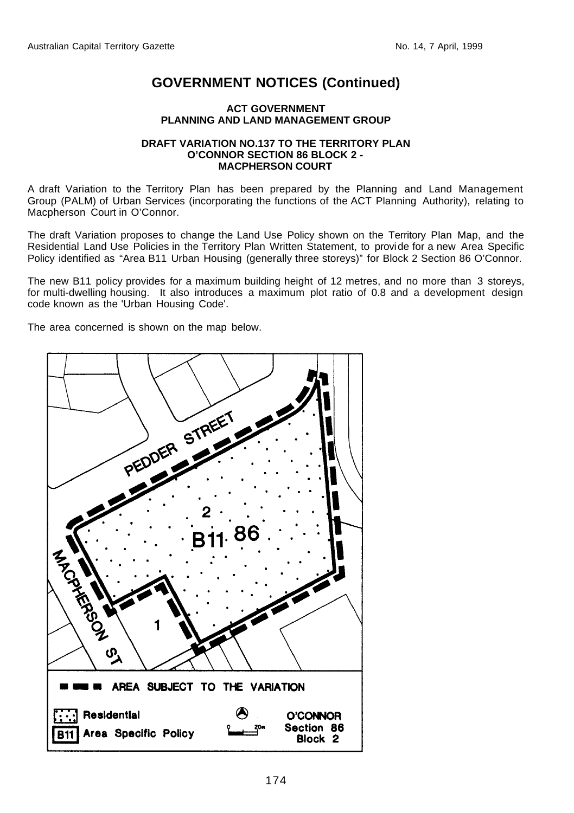#### **ACT GOVERNMENT PLANNING AND LAND MANAGEMENT GROUP**

#### **DRAFT VARIATION NO.137 TO THE TERRITORY PLAN O'CONNOR SECTION 86 BLOCK 2 - MACPHERSON COURT**

A draft Variation to the Territory Plan has been prepared by the Planning and Land Management Group (PALM) of Urban Services (incorporating the functions of the ACT Planning Authority), relating to Macpherson Court in O'Connor.

The draft Variation proposes to change the Land Use Policy shown on the Territory Plan Map, and the Residential Land Use Policies in the Territory Plan Written Statement, to provide for a new Area Specific Policy identified as "Area B11 Urban Housing (generally three storeys)" for Block 2 Section 86 O'Connor.

The new B11 policy provides for a maximum building height of 12 metres, and no more than 3 storeys, for multi-dwelling housing. It also introduces a maximum plot ratio of 0.8 and a development design code known as the 'Urban Housing Code'.

The area concerned is shown on the map below.

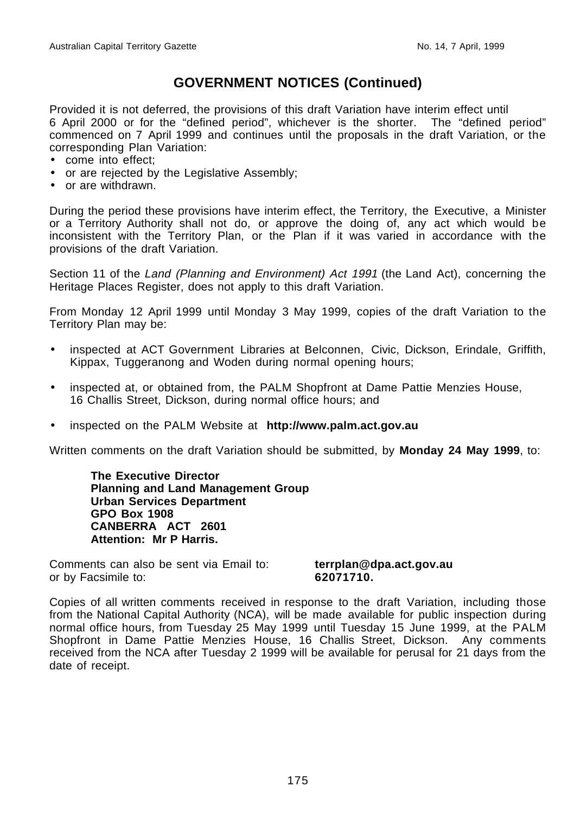Provided it is not deferred, the provisions of this draft Variation have interim effect until 6 April 2000 or for the "defined period", whichever is the shorter. The "defined period" commenced on 7 April 1999 and continues until the proposals in the draft Variation, or the corresponding Plan Variation:

- come into effect;
- or are rejected by the Legislative Assembly;
- or are withdrawn.

During the period these provisions have interim effect, the Territory, the Executive, a Minister or a Territory Authority shall not do, or approve the doing of, any act which would be inconsistent with the Territory Plan, or the Plan if it was varied in accordance with the provisions of the draft Variation.

Section 11 of the Land (Planning and Environment) Act 1991 (the Land Act), concerning the Heritage Places Register, does not apply to this draft Variation.

From Monday 12 April 1999 until Monday 3 May 1999, copies of the draft Variation to the Territory Plan may be:

- inspected at ACT Government Libraries at Belconnen, Civic, Dickson, Erindale, Griffith, Kippax, Tuggeranong and Woden during normal opening hours;
- inspected at, or obtained from, the PALM Shopfront at Dame Pattie Menzies House, 16 Challis Street, Dickson, during normal office hours; and
- inspected on the PALM Website at **http://www.palm.act.gov.au**

Written comments on the draft Variation should be submitted, by **Monday 24 May 1999**, to:

**The Executive Director Planning and Land Management Group Urban Services Department GPO Box 1908 CANBERRA ACT 2601 Attention: Mr P Harris.**

Comments can also be sent via Email to: **terrplan@dpa.act.gov.au** or by Facsimile to: **62071710.**

Copies of all written comments received in response to the draft Variation, including those from the National Capital Authority (NCA), will be made available for public inspection during normal office hours, from Tuesday 25 May 1999 until Tuesday 15 June 1999, at the PALM Shopfront in Dame Pattie Menzies House, 16 Challis Street, Dickson. Any comments received from the NCA after Tuesday 2 1999 will be available for perusal for 21 days from the date of receipt.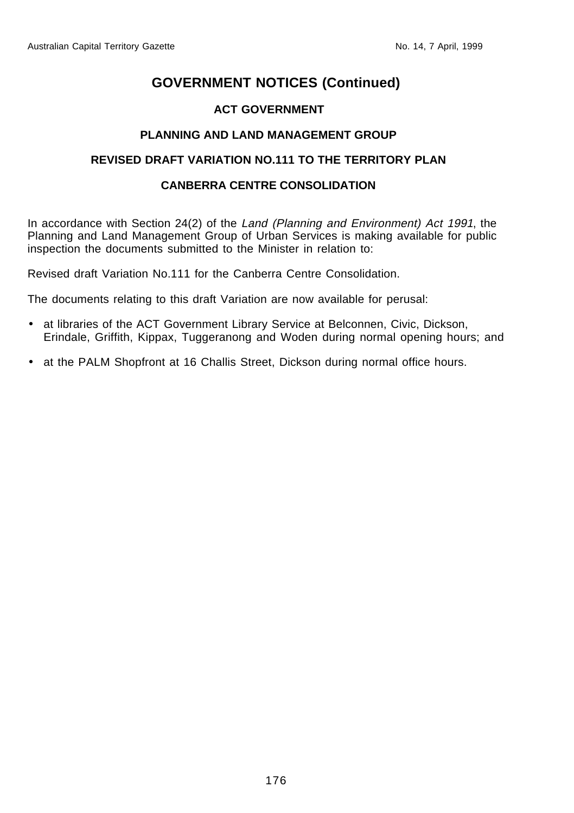## **ACT GOVERNMENT**

## **PLANNING AND LAND MANAGEMENT GROUP**

## **REVISED DRAFT VARIATION NO.111 TO THE TERRITORY PLAN**

## **CANBERRA CENTRE CONSOLIDATION**

In accordance with Section 24(2) of the Land (Planning and Environment) Act 1991, the Planning and Land Management Group of Urban Services is making available for public inspection the documents submitted to the Minister in relation to:

Revised draft Variation No.111 for the Canberra Centre Consolidation.

The documents relating to this draft Variation are now available for perusal:

- at libraries of the ACT Government Library Service at Belconnen, Civic, Dickson, Erindale, Griffith, Kippax, Tuggeranong and Woden during normal opening hours; and
- at the PALM Shopfront at 16 Challis Street, Dickson during normal office hours.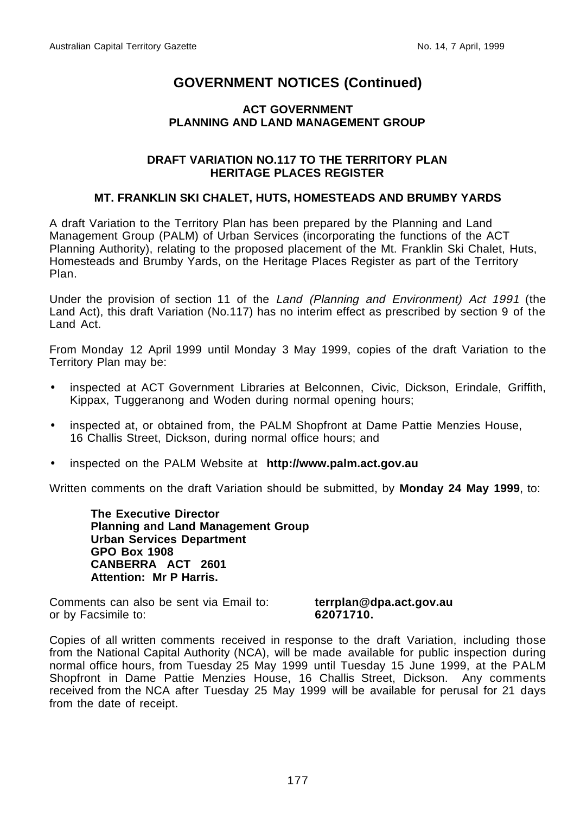## **ACT GOVERNMENT PLANNING AND LAND MANAGEMENT GROUP**

#### **DRAFT VARIATION NO.117 TO THE TERRITORY PLAN HERITAGE PLACES REGISTER**

### **MT. FRANKLIN SKI CHALET, HUTS, HOMESTEADS AND BRUMBY YARDS**

A draft Variation to the Territory Plan has been prepared by the Planning and Land Management Group (PALM) of Urban Services (incorporating the functions of the ACT Planning Authority), relating to the proposed placement of the Mt. Franklin Ski Chalet, Huts, Homesteads and Brumby Yards, on the Heritage Places Register as part of the Territory Plan.

Under the provision of section 11 of the Land (Planning and Environment) Act 1991 (the Land Act), this draft Variation (No.117) has no interim effect as prescribed by section 9 of the Land Act.

From Monday 12 April 1999 until Monday 3 May 1999, copies of the draft Variation to the Territory Plan may be:

- inspected at ACT Government Libraries at Belconnen, Civic, Dickson, Erindale, Griffith, Kippax, Tuggeranong and Woden during normal opening hours;
- inspected at, or obtained from, the PALM Shopfront at Dame Pattie Menzies House, 16 Challis Street, Dickson, during normal office hours; and
- inspected on the PALM Website at **http://www.palm.act.gov.au**

Written comments on the draft Variation should be submitted, by **Monday 24 May 1999**, to:

**The Executive Director Planning and Land Management Group Urban Services Department GPO Box 1908 CANBERRA ACT 2601 Attention: Mr P Harris.**

Comments can also be sent via Email to: **terrplan@dpa.act.gov.au** or by Facsimile to: **62071710.**

Copies of all written comments received in response to the draft Variation, including those from the National Capital Authority (NCA), will be made available for public inspection during normal office hours, from Tuesday 25 May 1999 until Tuesday 15 June 1999, at the PALM Shopfront in Dame Pattie Menzies House, 16 Challis Street, Dickson. Any comments received from the NCA after Tuesday 25 May 1999 will be available for perusal for 21 days from the date of receipt.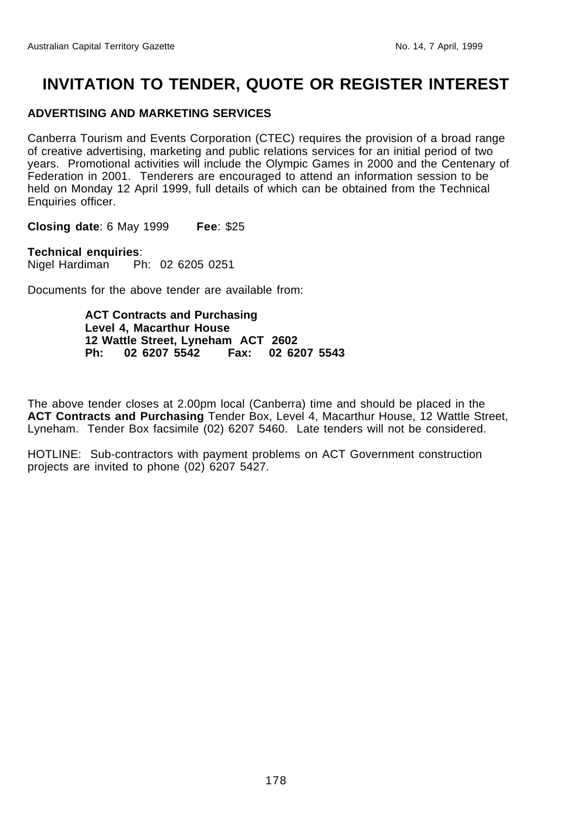## **INVITATION TO TENDER, QUOTE OR REGISTER INTEREST**

### **ADVERTISING AND MARKETING SERVICES**

Canberra Tourism and Events Corporation (CTEC) requires the provision of a broad range of creative advertising, marketing and public relations services for an initial period of two years. Promotional activities will include the Olympic Games in 2000 and the Centenary of Federation in 2001. Tenderers are encouraged to attend an information session to be held on Monday 12 April 1999, full details of which can be obtained from the Technical Enquiries officer.

**Closing date**: 6 May 1999 **Fee**: \$25

**Technical enquiries**: Nigel Hardiman Ph: 02 6205 0251

Documents for the above tender are available from:

**ACT Contracts and Purchasing Level 4, Macarthur House 12 Wattle Street, Lyneham ACT 2602 Ph: 02 6207 5542 Fax: 02 6207 5543**

The above tender closes at 2.00pm local (Canberra) time and should be placed in the **ACT Contracts and Purchasing** Tender Box, Level 4, Macarthur House, 12 Wattle Street, Lyneham. Tender Box facsimile (02) 6207 5460. Late tenders will not be considered.

HOTLINE: Sub-contractors with payment problems on ACT Government construction projects are invited to phone (02) 6207 5427.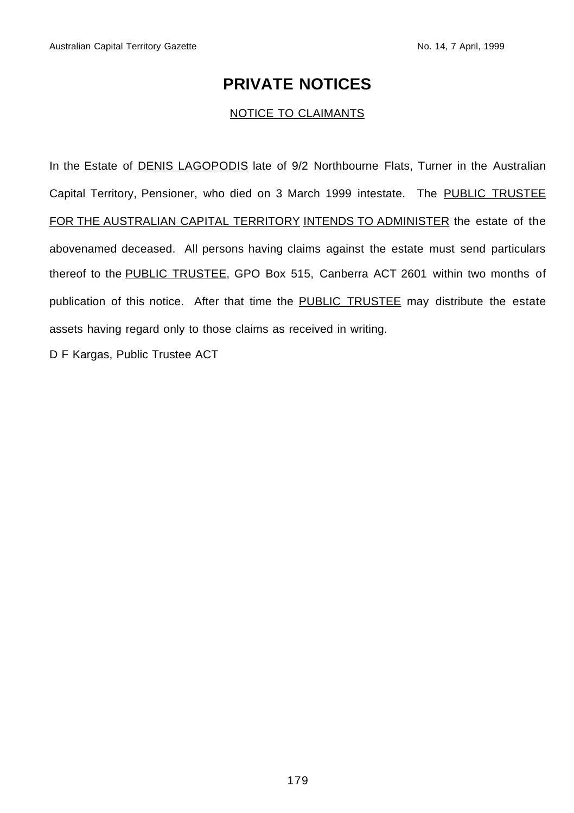## **PRIVATE NOTICES**

## NOTICE TO CLAIMANTS

In the Estate of **DENIS LAGOPODIS** late of 9/2 Northbourne Flats, Turner in the Australian Capital Territory, Pensioner, who died on 3 March 1999 intestate. The PUBLIC TRUSTEE FOR THE AUSTRALIAN CAPITAL TERRITORY INTENDS TO ADMINISTER the estate of the abovenamed deceased. All persons having claims against the estate must send particulars thereof to the PUBLIC TRUSTEE, GPO Box 515, Canberra ACT 2601 within two months of publication of this notice. After that time the PUBLIC TRUSTEE may distribute the estate assets having regard only to those claims as received in writing.

D F Kargas, Public Trustee ACT